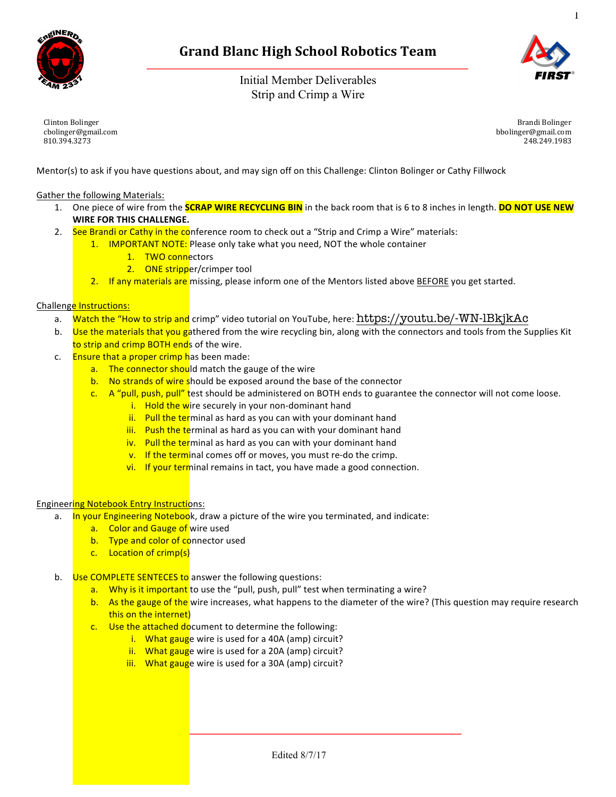

Initial Member Deliverables Strip and Crimp a Wire



1

Clinton Bolinger cbolinger@gmail.com 810.394.3273

Brandi Bolinger bbolinger@gmail.com 248.249.1983

Mentor(s) to ask if you have questions about, and may sign off on this Challenge: Clinton Bolinger or Cathy Fillwock

Gather the following Materials:

- 1. One piece of wire from the **SCRAP WIRE RECYCLING BIN** in the back room that is 6 to 8 inches in length. **DO NOT USE NEW WIRE FOR THIS CHALLENGE.**
- 2. See Brandi or Cathy in the conference room to check out a "Strip and Crimp a Wire" materials:
	- 1. IMPORTANT NOTE: Please only take what you need, NOT the whole container
		- 1. TWO connectors
		- 2. ONE stripper/crimper tool
	- 2. If any materials are missing, please inform one of the Mentors listed above BEFORE you get started.

## Challenge Instructions:

- a. Watch the "How to strip and crimp" video tutorial on YouTube, here: https://youtu.be/-WN-lBkjkAc
- b. Use the materials that you gathered from the wire recycling bin, along with the connectors and tools from the Supplies Kit to strip and crimp BOTH ends of the wire.
- c. Ensure that a proper crimp has been made:
	- a. The connector should match the gauge of the wire
	- b. No strands of wire should be exposed around the base of the connector
	- c. A "pull, push, pull" test should be administered on BOTH ends to guarantee the connector will not come loose.
		- $i.$  Hold the wire securely in your non-dominant hand
		- ii. Pull the terminal as hard as you can with your dominant hand
		- iii. Push the terminal as hard as you can with your dominant hand
		- iv. Pull the terminal as hard as you can with your dominant hand
		- $\overline{v}$ . If the terminal comes off or moves, you must re-do the crimp.
		- vi. If your terminal remains in tact, you have made a good connection.

## **Engineering Notebook Entry Instructions:**

- a. In your Engineering Notebook, draw a picture of the wire you terminated, and indicate:
	- a. Color and Gauge of wire used
		- b. Type and color of connector used
		- c. Location of crimp(s)
- b. Use COMPLETE SENTECES to answer the following questions:
	- a. Why is it important to use the "pull, push, pull" test when terminating a wire?
	- b. As the gauge of the wire increases, what happens to the diameter of the wire? (This question may require research this on the internet)
	- $c.$  Use the attached document to determine the following:
		- i. What gauge wire is used for a 40A (amp) circuit?
		- ii. What gauge wire is used for a 20A (amp) circuit?
		- iii. What gauge wire is used for a 30A (amp) circuit?